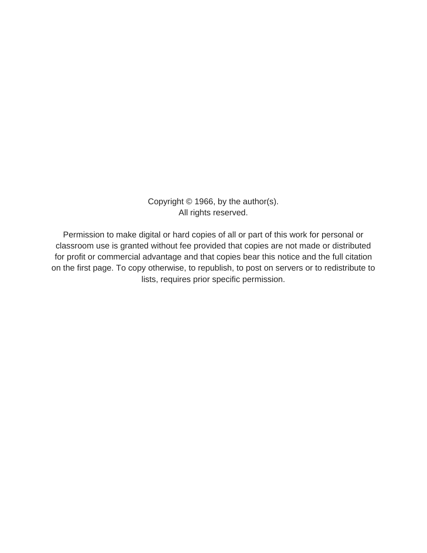Copyright © 1966, by the author(s). All rights reserved.

Permission to make digital or hard copies of all or part of this work for personal or classroom use is granted without fee provided that copies are not made or distributed for profit or commercial advantage and that copies bear this notice and the full citation on the first page. To copy otherwise, to republish, to post on servers or to redistribute to lists, requires prior specific permission.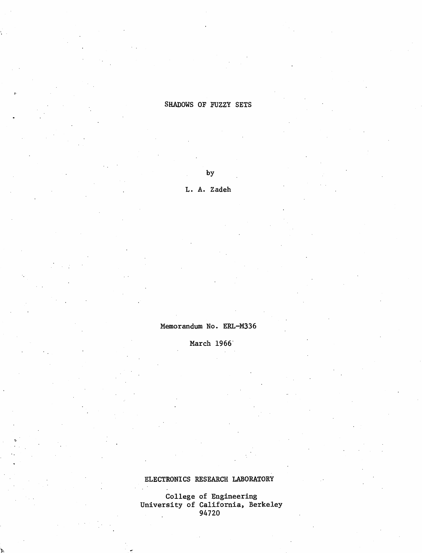## SHADOWS OF FUZZY SETS

by

L. A. Zadeh

## Memorandum No. ERL-M336

March 1966

# ELECTRONICS RESEARCH LABORATORY

College of Engineering University of California, Berkeley 94720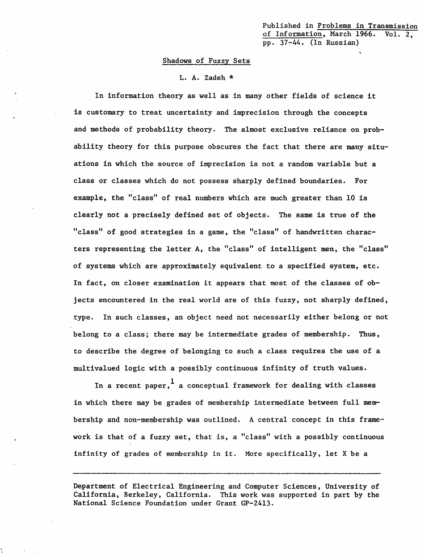Published in Problems in Transmission of Information, March 1966. Vol. 2, pp. 37-44. (In Russian)

#### Shadows of Fuzzy Sets

L. A. Zadeh \*

In information theory as well as in many other fields of science it is customary to treat uncertainty and imprecision through the concepts and methods of probability theory. The almost exclusive reliance on prob ability theory for this purpose obscures the fact that there are many situ ations in which the source of imprecision is not a random variable but a class or classes which do not possess sharply defined boundaries. For example, the "class" of real numbers which are much greater than 10 is clearly not a precisely defined set of objects. The same is true of the "class" of good strategies in a game, the "class" of handwritten charac ters representing the letter A, the "class" of intelligent men, the "class" of systems which are approximately equivalent to a specified system, etc. In fact, on closer examination it appears that most of the classes of ob jects encountered in the real world are of this fuzzy, not sharply defined, type. In such classes, an object need not necessarily either belong or not belong to a class; there may be intermediate grades of membership. Thus, to describe the degree of belonging to such a class requires the use of a multivalued logic with a possibly continuous infinity of truth values.

In a recent paper,  $\frac{1}{a}$  a conceptual framework for dealing with classes in which there may be grades of membership intermediate between full mem bership and non-membership was outlined. A central concept in this frame work is that of a fuzzy set, that is, a "class" with a possibly continuous infinity of grades of membership in it. More specifically, let X be a

Department of Electrical Engineering and Computer Sciences, University of California, Berkeley, California. This work was supported in part by the National Science Foundation under Grant GP-2413.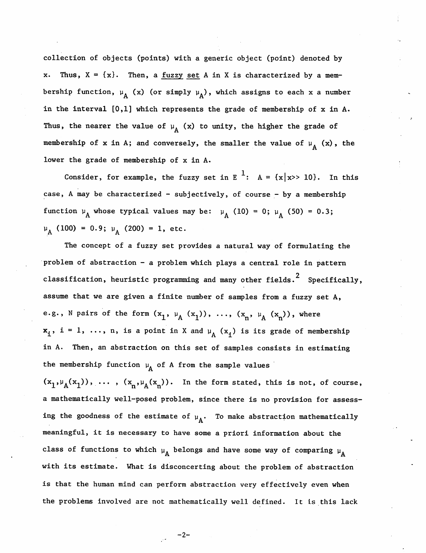collection of objects (points) with a generic object (point) denoted by Thus,  $X = \{x\}$ . Then, a <u>fuzzy set</u> A in X is characterized by a membership function,  $\mu_A$  (x) (or simply  $\mu_A$ ), which assigns to each x a number in the interval [0,1] which represents the grade of membership of x in A. Thus, the nearer the value of  $\mu_A$  (x) to unity, the higher the grade of membership of x in A; and conversely, the smaller the value of  $\mu$ <sub>A</sub> (x), the lower the grade of membership of x in A.

Consider, for example, the fuzzy set in E<sup>1</sup>: A = {x|x>> 10}. In this case, A may be characterized - subjectively, of course - by a membership function  $\mu_A$  whose typical values may be:  $\mu_A$  (10) = 0;  $\mu_A$  (50) = 0.3;  $\mu_A$  (100) = 0.9;  $\mu_A$  (200) = 1, etc.

The concept of a fuzzy set provides a natural way of formulating the problem of abstraction - a problem which plays a central role in pattern classification, heuristic programming and many other fields.<sup>2</sup> Specifically, assume that we are given a finite number of samples from a fuzzy set A, e.g., N pairs of the form  $(x^1, \mu^A, (x^1), \ldots, (x^n, \mu^A, (x^n))$ , where  $x_i$ , i = 1, ..., n, is a point in X and  $\mu_A$  ( $x_i$ ) is its grade of membership in A. Then, an abstraction on this set of samples consists in estimating the membership function  $\mu_A$  of A from the sample values

 $(x^1,y^1(x^1), \ldots, (x^1,y^1(x^n)).$  In the form stated, this is not, of course, a mathematically well-posed problem, since there is no provision for assess ing the goodness of the estimate of  $\mu_A$ . To make abstraction mathematically meaningful, it is necessary to have some a priori information about the class of functions to which  $\mu_A$  belongs and have some way of comparing  $\mu_A$ with its estimate. What is disconcerting about the problem of abstraction is that the human mind can perform abstraction very effectively even when the problems involved are not mathematically well defined. It is this lack

 $-2-$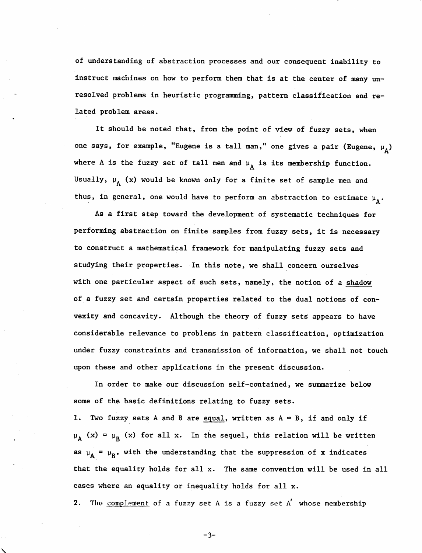of understanding of abstraction processes and our consequent inability to instruct machines on how to perform them that is at the center of many un resolved problems in heuristic programming, pattern classification and re lated problem areas.

It should be noted that, from the point of view of fuzzy sets, when one says, for example, "Eugene is a tall man," one gives a pair (Eugene,  $\mu_A$ ) where A is the fuzzy set of tall men and  $\mu_A$  is its membership function. Usually,  $\mu_A$  (x) would be known only for a finite set of sample men and thus, in general, one would have to perform an abstraction to estimate  $\mu_A$ .

As a first step toward the development of systematic techniques for performing abstraction on finite samples from fuzzy sets, it is necessary to construct a mathematical framework for manipulating fuzzy sets and studying their properties. In this note, we shall concern ourselves with one particular aspect of such sets, namely, the notion of a shadow of a fuzzy set and certain properties related to the dual notions of con vexity and concavity. Although the theory of fuzzy sets appears to have considerable relevance to problems in pattern classification, optimization under fuzzy constraints and transmission of information, we shall not touch upon these and other applications in the present discussion.

In order to make our discussion self-contained, we summarize below some of the basic definitions relating to fuzzy sets.

1. Two fuzzy sets A and B are equal, written as  $A = B$ , if and only if  $\mu_A$  (x) =  $\mu_B$  (x) for all x. In the sequel, this relation will be written as  $\mu_A = \mu_B$ , with the understanding that the suppression of x indicates that the equality holds for all x. The same convention will be used in all cases where an equality or inequality holds for all x.

2. The complement of a fuzzy set A is a fuzzy set  $\Lambda'$  whose membership

 $-3-$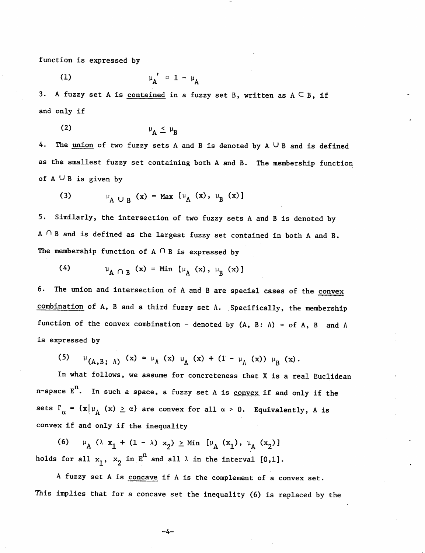function is expressed by

$$
\mu_{\mathbf{A}}^{\prime} = 1 - \mu_{\mathbf{A}}
$$

3. A fuzzy set A is contained in a fuzzy set B, written as  $A \subseteq B$ , if and only if

$$
\mu_{A} \leq \mu_{B}
$$

4. The union of two fuzzy sets A and B is denoted by  $A \cup B$  and is defined as the smallest fuzzy set containing both A and B. The membership function of  $A \cup B$  is given by

(3) 
$$
\qquad \qquad \mu_{A \cup B} (x) = \text{Max} [\mu_{A} (x), \mu_{B} (x)]
$$

5. Similarly, the intersection of two fuzzy sets A and B is denoted by A  $\cap$  B and is defined as the largest fuzzy set contained in both A and B. The membership function of  $A \cap B$  is expressed by

(4)  $\mu_{A \cap B} (x) = Min [\mu_{A} (x), \mu_{B} (x) ]$ 

6. The union and intersection of A and B are special cases of the convex combination of A, B and a third fuzzy set A. Specifically, the membership function of the convex combination - denoted by  $(A, B: \Lambda)$  - of A, B and  $\Lambda$ is expressed by

(5)  $\mu_{(A,B; \Lambda)} (x) = \mu_{\Lambda} (x) \mu_{A} (x) + (1 - \mu_{\Lambda} (x)) \mu_{B} (x).$ 

In what follows, we assume for concreteness that X is a real Euclidean n-space  $E<sup>n</sup>$ . In such a space, a fuzzy set A is convex if and only if the sets Ta = (x|yA (x) >. a} are convex for all a > 0. Equivalently, A is convex if and only if the inequality

(6)  $\mu_A$  ( $\lambda$  **x**<sub>1</sub> + (1 -  $\lambda$ ) **x**<sub>2</sub>)  $\geq$  Min [ $\mu_A$  (**x**<sub>1</sub>),  $\mu_A$  (**x**<sub>2</sub>) ] holds for all  $x_1$ ,  $x_2$  in  $E^n$  and all  $\lambda$  in the interval [0,1].

A fuzzy set A is concave if A is the complement of a convex set. This implies that for a concave set the inequality (6) is replaced by the

-4-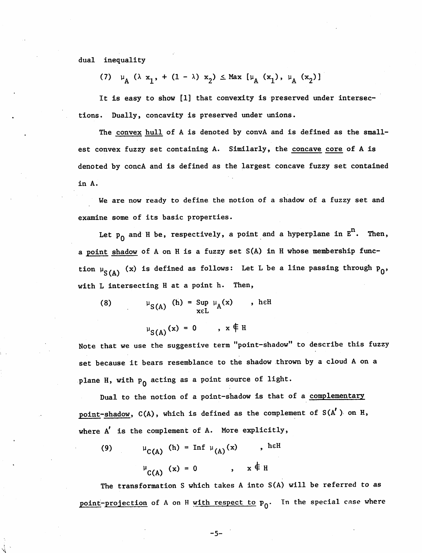dual inequality

(7) 
$$
\mu_{A} (\lambda x_{1}, + (1 - \lambda) x_{2}) \le \text{Max} [\mu_{A} (x_{1}), \mu_{A} (x_{2})]
$$

It is easy to show [1] that convexity is preserved under intersec tions. Dually, concavity is preserved under unions.

The convex hull of A is denoted by convA and is defined as the smallest convex fuzzy set containing A. Similarly, the concave core of A is denoted by concA and is defined as the largest concave fuzzy set contained in A.

We are now ready to define the notion of a shadow of a fuzzy set and examine some of its basic properties.

Let  $p_0$  and H be, respectively, a point and a hyperplane in  $E^n$ . Then, a point shadow of A on H is a fuzzy set S(A) in H whose membership func tion  $\mu_{\text{S(A)}}$  (x) is defined as follows: Let L be a line passing through  $\bm{{\mathsf{p}}}_0,$ with L intersecting H at a point h. Then,

(8) 
$$
\mu_{S(A)}(h) = \sup_{x \in L} \mu_A(x) \quad , \text{hcl}
$$

 $\mu_{S(A)}(x) = 0$ ,  $x \notin H$ 

Note that we use the suggestive term "point-shadow" to describe this fuzzy set because it bears resemblance to the shadow thrown by a cloud A on a plane H, with  $p_0$  acting as a point source of light.

Dual to the notion of a point-shadow is that of a complementary point-shadow,  $C(A)$ , which is defined as the complement of  $S(A')$  on H, where A' is the complement of A. More explicitly,

(9)  $\mu_{C(A)}$  (h) = Inf  $\mu_{(A)}(x)$ , he H  $^{\mu}$ C(A) (x) = 0 , x  $\neq$  H

The transformation S which takes A into S(A) will be referred to as point-projection of A on H with respect to  $p_0$ . In the special case where

-5-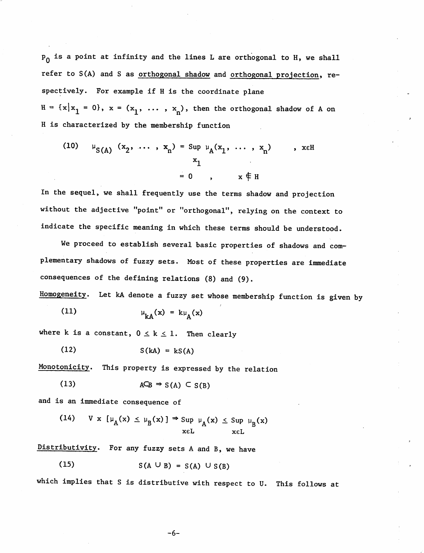$p_0$  is a point at infinity and the lines L are orthogonal to H, we shall refer to S(A) and S as orthogonal shadow and orthogonal projection, re spectively. For example if H is the coordinate plane  $H = \{x | x_1 = 0\}, x = (x_1, \ldots, x_n)$ , then the orthogonal shadow of A on H is characterized by the membership function

(10) 
$$
\mu_{S(A)}(x_2, ..., x_n) = \sup_{x_1} \mu_A(x_1, ..., x_n)
$$
, x \in H  
= 0,  $x \notin H$ 

In the sequel, we shall frequently use the terms shadow and projection without the adjective "point" or "orthogonal", relying on the context to indicate the specific meaning in which these terms should be understood.

We proceed to establish several basic properties of shadows and complementary shadows of fuzzy sets. Most of these properties are immediate consequences of the defining relations (8) and (9).

Homogeneity. Let kA denote a fuzzy set whose membership function is given by

$$
\mu_{kA}(x) = k\mu_A(x)
$$

where k is a constant,  $0 \le k \le 1$ . Then clearly

(12)  $S(kA) = kS(A)$ 

Monotonicity. This property is expressed by the relation

$$
(13) \t\t ACB \Rightarrow S(A) \subset S(B)
$$

and is an immediate consequence of

(14) 
$$
V x [\mu_A(x) \le \mu_B(x)] \Rightarrow \sup_{x \in L} \mu_A(x) \le \sup_{x \in L} \mu_B(x)
$$

Distributivity. For any fuzzy sets A and B, we have

$$
(15) \tS(A \cup B) = S(A) \cup S(B)
$$

which implies that S is distributive with respect to U. This follows at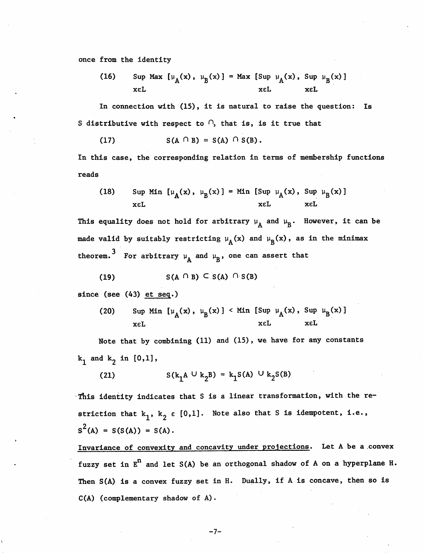once from the identity

(16) Sup Max 
$$
\left[\mu_{A}(x), \mu_{B}(x)\right] = \text{Max } \left[\text{Sup } \mu_{A}(x), \text{ Sup } \mu_{B}(x)\right]
$$
   
x<sub>εL</sub>   
x<sub>εL</sub>

In connection with (15), it is natural to raise the question: Is S distributive with respect to  $\cap$ , that is, is it true that

$$
(17) \tS(A \cap B) = S(A) \cap S(B).
$$

In this case, the corresponding relation in terms of membership functions reads

(18) Sup Min 
$$
[\mu_A(x), \mu_B(x)] = \min [\text{Sup } \mu_A(x), \text{Sup } \mu_B(x)]
$$
 xel xel

This equality does not hold for arbitrary  $\mu_A$  and  $\mu_R$ . However, it can be made valid by suitably restricting  $\mu_A(x)$  and  $\mu_B(x)$ , as in the minimax theorem.  $^3$  For arbitrary  $\mu_\mathtt{A}$  and  $\mu_\mathtt{B}$ , one can assert that

$$
(19) \tS(A \cap B) \subseteq S(A) \cap S(B)
$$

since (see (43) et seq.)

(20) Sup Min 
$$
\left[\mu_A(x), \mu_B(x)\right] <
$$
 Min  $\left[\text{Sup } \mu_A(x), \text{Sup } \mu_B(x)\right]$   
x\in L\nx\in L

Note that by combining (11) and (15), we have for any constants  $k_1$  and  $k_2$  in [0,1],

(21) 
$$
S(k_1 A \cup k_2 B) = k_1 S(A) \cup k_2 S(B)
$$

This identity indicates that S is a linear transformation, with the re striction that  $k_1$ ,  $k_2 \in [0,1]$ . Note also that S is idempotent, i.e.,  $S^{2}(A) = S(S(A)) = S(A)$ .

Invariance of convexity and concavity under projections. Let A be a convex fuzzy set in  $E^n$  and let  $S(A)$  be an orthogonal shadow of A on a hyperplane H. Then S(A) is a convex fuzzy set in H. Dually, if A is concave, then so is C(A) (complementary shadow of A).

-7-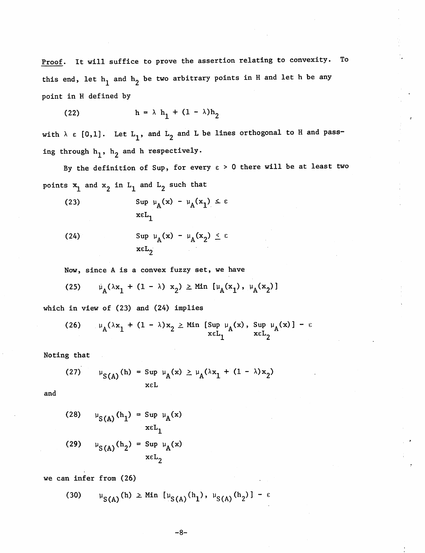Proof, it will suffice to prove the assertion relating to convexity. To this end, let  $h_1$  and  $h_2$  be two arbitrary points in H and let h be any point in H defined by

$$
(22) \qquad \qquad h = \lambda h_1 + (1 - \lambda)h_2
$$

with  $\lambda \in [0,1]$ . Let  $L_1$ , and  $L_2$  and L be lines orthogonal to H and passing through  $h_1$ ,  $h_2$  and h respectively.

By the definition of Sup, for every  $\varepsilon > 0$  there will be at least two points  $x_1$  and  $x_2$  in  $L_1$  and  $L_2$  such that

(23) 
$$
\sup_{x \in L_1} \mu_A(x) - \mu_A(x_1) \leq \varepsilon
$$

(24) 
$$
\operatorname{Sup} \mu_{A}(x) - \mu_{A}(x_{2}) \leq \epsilon
$$

$$
\operatorname{xcL}_{2}
$$

Now, since A is a convex fuzzy set, we have

(25) 
$$
\mu_A(\lambda x_1 + (1 - \lambda) x_2) \ge \text{Min} [\mu_A(x_1), \mu_A(x_2)]
$$

which in view of (23) and (24) implies

(26) 
$$
\mu_A(\lambda x_1 + (1 - \lambda)x_2 \geq \min \left[\sup_{x \in L_1} \mu_A(x), \sup_{x \in L_2} \mu_A(x)\right] - \varepsilon
$$

Noting that

(27) 
$$
\mu_{S(A)}(h) = \sup_{x \in L} \mu_A(x) \ge \mu_A(\lambda x_1 + (1 - \lambda)x_2)
$$

and

(28) 
$$
\mu_{S(A)}(h_1) = \text{Sup } \mu_A(x)
$$
  
\n $\kappa L_1$   
\n(29)  $\mu_{S(A)}(h_2) = \text{Sup } \mu_A(x)$   
\n $\kappa L_2$ 

we can infer from (26)

(30)  $\mu_{S(A)}(h) \geq Min \left[\mu_{S(A)}(h_1), \mu_{S(A)}(h_2)\right] - \varepsilon$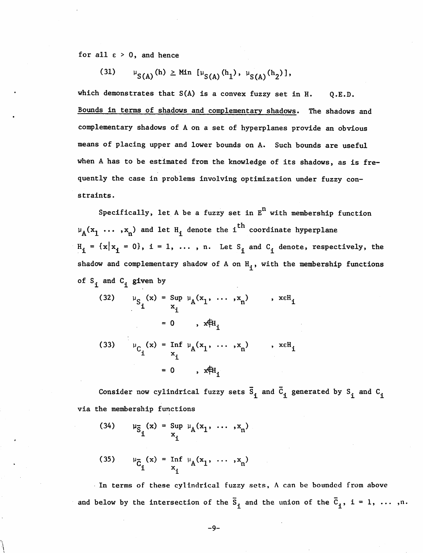for all  $\varepsilon > 0$ , and hence

(31) 
$$
\qquad \mu_{S(A)}(h) \geq \text{Min} \left[ \mu_{S(A)}(h_1), \mu_{S(A)}(h_2) \right],
$$

which demonstrates that  $S(A)$  is a convex fuzzy set in H.  $Q.E.D.$ Bounds in terms of shadows and complementary shadows. The shadows and complementary shadows of A on a set of hyperplanes provide an obvious means of placing upper and lower bounds on A. Such bounds are useful when A has to be estimated from the knowledge of its shadows, as is fre quently the case in problems involving optimization under fuzzy con straints.

Specifically, let A be a fuzzy set in  $E<sup>n</sup>$  with membership function  $\mu_A(x_1, \ldots, x_n)$  and let  $H_i$  denote the i<sup>th</sup> coordinate hyperplane  $H_i = \{x | x_i = 0\}, i = 1, ..., n.$  Let  $S_i$  and  $C_i$  denote, respectively, the shadow and complementary shadow of A on  $H_i$ , with the membership functions of  $S_i$  and  $C_i$  given by

(32) 
$$
\mu_{S_1}(x) = \sup_{x_i} \mu_A(x_1, ..., x_n)
$$
,  $x \in H_i$   
\t\t\t\t $= 0$ ,  $x \notin H_i$   
\n(33)  $\mu_{C_i}(x) = \inf_{x_i} \mu_A(x_1, ..., x_n)$ ,  $x \in H_i$   
\t\t\t\t $= 0$ ,  $x \notin H_i$ 

Consider now cylindrical fuzzy sets  $\overline{S}_1$  and  $\overline{C}_1$  generated by  $S_1$  and  $C_1$ via the membership functions

(34) 
$$
\mu_{\bar{S}_1}(x) = \sup_{x_i} \mu_A(x_1, \ldots, x_n)
$$

(35) 
$$
\mu_{\bar{C}_1}(x) = \inf_{x_1} \mu_A(x_1, \ldots, x_n)
$$

In terms of these cylindrical fuzzy sets, A can be bounded from above and below by the intersection of the  $\overline{S}_1$  and the union of the  $\overline{C}_1$ ,  $i = 1, \ldots, n$ .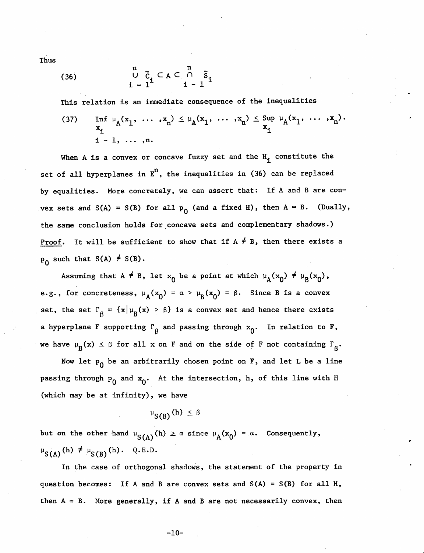Thus

(36) 
$$
\begin{array}{ccc}\nn & n \\
U & \overline{C}_1 \subset A \subset \cap & \overline{S}_1 \\
i = 1^{\text{max}} & i - 1\n\end{array}
$$

This relation is an immediate consequence of the inequalities

(37) Inf 
$$
\mu_A(x_1, ..., x_n) \le \mu_A(x_1, ..., x_n) \le \sup_{x_i} \mu_A(x_1, ..., x_n)
$$
.  
 i - 1, ..., n.

When A is a convex or concave fuzzy set and the  $H_4$  constitute the set of all hyperplanes in  $E<sup>n</sup>$ , the inequalities in (36) can be replaced by equalities. More concretely, we can assert that: If A and B are con vex sets and S(A) = S(B) for all  $p_0$  (and a fixed H), then A = B. (Dually, the same conclusion holds for concave sets and complementary shadows.) <u>Proof</u>. It will be sufficient to show that if  $A \neq B$ , then there exists a  $p_0$  such that S(A)  $\neq$  S(B).

Assuming that A  $\neq$  B, let  $x_0$  be a point at which  $\mu_A(x_0) \neq \mu_B(x_0)$ , e.g., for concreteness,  $\mu_A(x_0) = \alpha > \mu_B(x_0) = \beta$ . Since B is a convex set, the set  $\Gamma_g = {\{\mathbf{x} \mid \mu_B(\mathbf{x}) > \beta\}}$  is a convex set and hence there exists a hyperplane F supporting  $\Gamma_{\beta}$  and passing through  $x_{0}$ . In relation to F, we have  $\mu_B(x) \le \beta$  for all x on F and on the side of F not containing  $\Gamma_g$ .

Now let  $p_0$  be an arbitrarily chosen point on F, and let L be a line passing through  $p_0$  and  $x_0$ . At the intersection, h, of this line with H (which may be at infinity), we have

$$
\mu_{S(B)}(h) \leq \beta
$$

but on the other hand  $\mu_{S(A)}(h) \geq \alpha$  since  $\mu_A(x_0) = \alpha$ . Consequently,  $\mu_{S(A)}(h) \neq \mu_{S(B)}(h)$ . Q.E.D.

In the case of orthogonal shadows, the statement of the property in question becomes: If A and B are convex sets and  $S(A) = S(B)$  for all H, then  $A = B$ . More generally, if A and B are not necessarily convex, then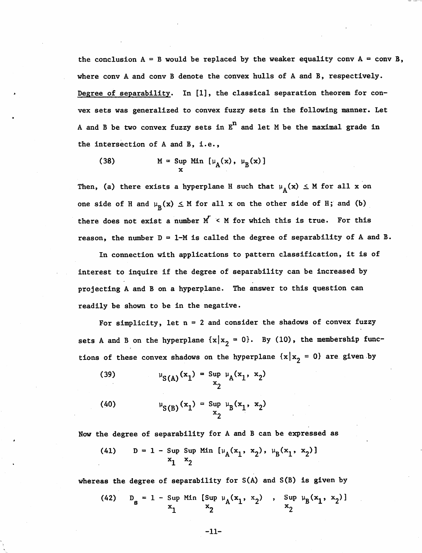the conclusion  $A = B$  would be replaced by the weaker equality conv  $A = \text{conv } B$ , where conv A and conv B denote the convex hulls of A and B, respectively. Degree of separability. In [1], the classical separation theorem for convex sets was generalized to convex fuzzy sets in the following manner. Let A and B be two convex fuzzy sets in  $E^n$  and let M be the maximal grade in the intersection of A and B, i.e.,

(38) 
$$
M = \sup_{x} Min [\mu_A(x), \mu_B(x)]
$$

Then, (a) there exists a hyperplane H such that  $\mu_A(x) \leq M$  for all x on one side of H and  $\mu_{\tilde{B}}(x) \leq M$  for all x on the other side of H; and (b) there does not exist a number  $M' < M$  for which this is true. For this reason, the number  $D = 1-M$  is called the degree of separability of A and B.

In connection with applications to pattern classification, it is of interest to inquire if the degree of separability can be increased by projecting A and B on a hyperplane. The answer to this question can readily be shown to be in the negative.

For simplicity, let  $n = 2$  and consider the shadows of convex fuzzy sets A and B on the hyperplane  $\{x | x_{2} = 0\}$ . By (10), the membership functions of these convex shadows on the hyperplane  $\{x | x_{2} = 0\}$  are given by

(39) 
$$
\mu_{S(A)}(x_1) = \sup_{x_2} \mu_A(x_1, x_2)
$$

(40) 
$$
\mu_{S(B)}(x_1) = \sup_{x_2} \mu_B(x_1, x_2)
$$

Now the degree of separability for A and B can be expressed as

(41) 
$$
D = 1 - \sup_{x_1} \sup_{x_2} \text{Min} [\mu_A(x_1, x_2), \mu_B(x_1, x_2)]
$$

whereas the degree of separability for S(A) and S(B) is given by

(42) 
$$
D_g = 1 - \sup_{x_1} \lim_{x_2} [\sup_{x_2} \mu_A(x_1, x_2), \sup_{x_2} \mu_B(x_1, x_2)]
$$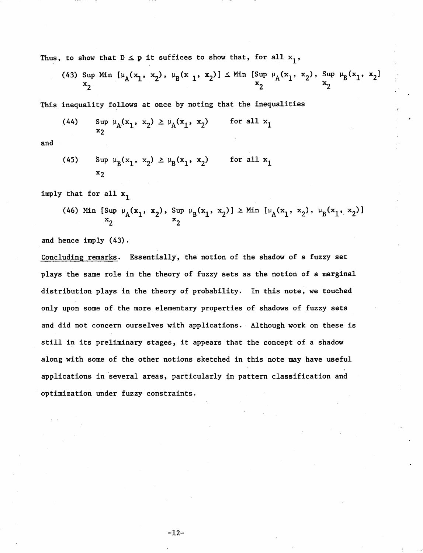Thus, to show that  $D \leq p$  it suffices to show that, for all  $x_1$ ,

(43) Sup Min 
$$
\left[\mu_A(x_1, x_2), \mu_B(x_1, x_2)\right] \leq \min \left[\sup_{x_2} \mu_A(x_1, x_2), \sup_{x_2} \mu_B(x_1, x_2)\right]
$$

This inequality follows at once by noting that the inequalities

(44) 
$$
\sup_{x_2} \mu_A(x_1, x_2) \ge \mu_A(x_1, x_2)
$$
 for all  $x_1$ 

and

(45) 
$$
\sup_{x_2} \mu_B(x_1, x_2) \ge \mu_B(x_1, x_2)
$$
 for all  $x_1$ 

imply that for all  $x_1$ 

(46) Min [Sup 
$$
\mu_A(x_1, x_2)
$$
, Sup  $\mu_B(x_1, x_2)$ ]  $\geq$  Min [ $\mu_A(x_1, x_2)$ ,  $\mu_B(x_1, x_2)$ ]  $\xrightarrow[x_2]$ 

and hence imply (43).

Concluding remarks. Essentially, the notion of the shadow of a fuzzy set plays the same role in the theory of fuzzy sets as the notion of a marginal distribution plays in the theory of probability. In this note, we touched only upon some of the more elementary properties of shadows of fuzzy sets and did not concern ourselves with applications. Although work on these is still in its preliminary stages, it appears that the concept of a shadow along with some of the other notions sketched in this note may have useful applications in several areas, particularly in pattern classification and optimization under fuzzy constraints.